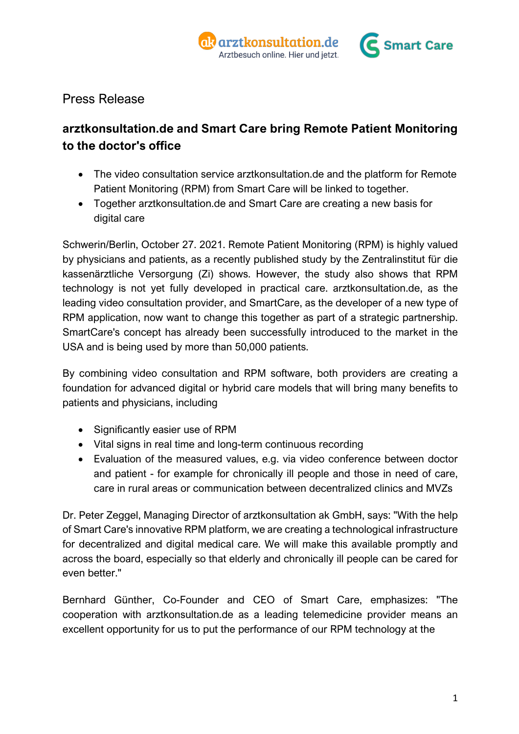

# Press Release

# **arztkonsultation.de and Smart Care bring Remote Patient Monitoring to the doctor's office**

- The video consultation service arztkonsultation.de and the platform for Remote Patient Monitoring (RPM) from Smart Care will be linked to together.
- Together arztkonsultation.de and Smart Care are creating a new basis for digital care

Schwerin/Berlin, October 27. 2021. Remote Patient Monitoring (RPM) is highly valued by physicians and patients, as a recently published study by the Zentralinstitut für die kassenärztliche Versorgung (Zi) shows. However, the study also shows that RPM technology is not yet fully developed in practical care. arztkonsultation.de, as the leading video consultation provider, and SmartCare, as the developer of a new type of RPM application, now want to change this together as part of a strategic partnership. SmartCare's concept has already been successfully introduced to the market in the USA and is being used by more than 50,000 patients.

By combining video consultation and RPM software, both providers are creating a foundation for advanced digital or hybrid care models that will bring many benefits to patients and physicians, including

- Significantly easier use of RPM
- Vital signs in real time and long-term continuous recording
- Evaluation of the measured values, e.g. via video conference between doctor and patient - for example for chronically ill people and those in need of care, care in rural areas or communication between decentralized clinics and MVZs

Dr. Peter Zeggel, Managing Director of arztkonsultation ak GmbH, says: "With the help of Smart Care's innovative RPM platform, we are creating a technological infrastructure for decentralized and digital medical care. We will make this available promptly and across the board, especially so that elderly and chronically ill people can be cared for even better."

Bernhard Günther, Co-Founder and CEO of Smart Care, emphasizes: "The cooperation with arztkonsultation.de as a leading telemedicine provider means an excellent opportunity for us to put the performance of our RPM technology at the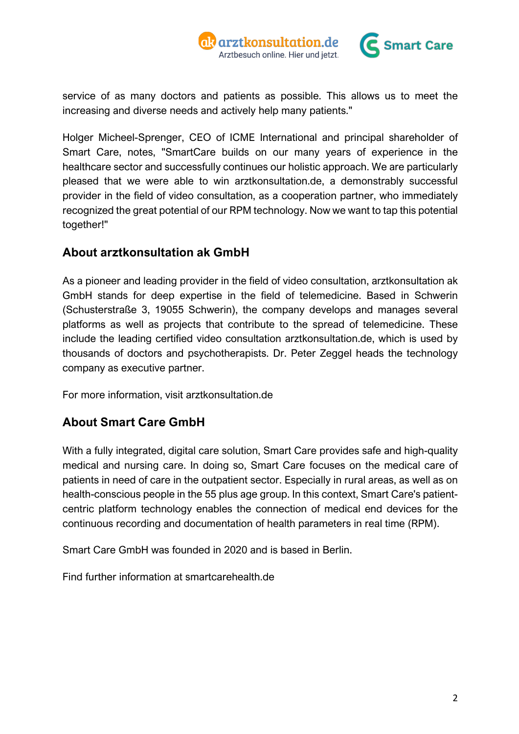



service of as many doctors and patients as possible. This allows us to meet the increasing and diverse needs and actively help many patients."

Holger Micheel-Sprenger, CEO of ICME International and principal shareholder of Smart Care, notes, "SmartCare builds on our many years of experience in the healthcare sector and successfully continues our holistic approach. We are particularly pleased that we were able to win arztkonsultation.de, a demonstrably successful provider in the field of video consultation, as a cooperation partner, who immediately recognized the great potential of our RPM technology. Now we want to tap this potential together!"

## **About arztkonsultation ak GmbH**

As a pioneer and leading provider in the field of video consultation, arztkonsultation ak GmbH stands for deep expertise in the field of telemedicine. Based in Schwerin (Schusterstraße 3, 19055 Schwerin), the company develops and manages several platforms as well as projects that contribute to the spread of telemedicine. These include the leading certified video consultation arztkonsultation.de, which is used by thousands of doctors and psychotherapists. Dr. Peter Zeggel heads the technology company as executive partner.

For more information, visit arztkonsultation.de

## **About Smart Care GmbH**

With a fully integrated, digital care solution, Smart Care provides safe and high-quality medical and nursing care. In doing so, Smart Care focuses on the medical care of patients in need of care in the outpatient sector. Especially in rural areas, as well as on health-conscious people in the 55 plus age group. In this context, Smart Care's patientcentric platform technology enables the connection of medical end devices for the continuous recording and documentation of health parameters in real time (RPM).

Smart Care GmbH was founded in 2020 and is based in Berlin.

Find further information at smartcarehealth.de